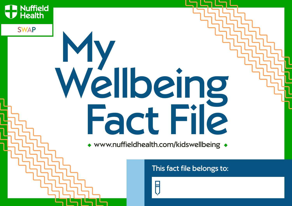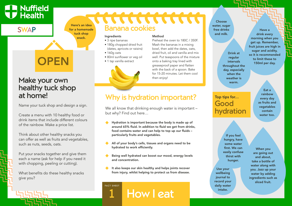## **SWAP**

Here's an idea for a homemade tuck shop snack.

## **OPEN**

## Make your own healthy tuck shop at home!

Name your tuck shop and design a sign.

Create a menu with 10 healthy food or drink items that include different colours of the rainbow. Make a price list.

Think about other healthy snacks you can offer as well as fruits and vegetables, such as nuts, seeds, oats.

Put your snacks together and give them each a name (ask for help if you need it with chopping, peeling or cutting).

What benefits do these healthy snacks give you?

# Banana cookies

#### **Ingredients**

- 3 ripe bananas
- 180g chopped dried fruit (dates, apricots or raisins)
- 160g oats
- 80ml sunflower or veg oil
- 1 tsp vanilla extract



#### Method

Preheat the oven to 180C / 350F. Mash the bananas in a mixing bowl, then add the dates, oats, dried fruit, oil and vanilla and mix well. Put teaspoons of the mixture onto a baking tray lined with greaseproof paper and flatten with the back of a spoon. Bake for 15-20 minutes. Let them cool then enjoy!

## Why is hydration important?

We all know that drinking enough water is important – but why? Find out here…

- Hydration is important because the body is made up of around 65% fluid. In addition to fluid we get from drinks, food contains water and can help to top up our fluids – particularly fruits and vegetables.
- All of your body's cells, tissues and organs need to be hydrated to work efficiently.
- Being well hydrated can boost our mood, energy levels and concentration.
- It also keeps our skin healthy and helps joints recover from injury, whilst helping to protect us from disease.

**1** How I eat

#### Choose water, sugar free drinks and milk.

Drink at regular intervals throughout the day, especially when the weather is warm.

Top tips for…

hydration

Good

Have a drink every morning when you get up. Remember, fruit juices are high in sugar and acidity, so it is recommended to limit these to 150ml per day.

> Eat a rainbow every day as fruits and vegetables contain water too.

If you feel hungry, have some water first. We can easily confuse thirst with hunger. Use your

wellbeing journal to record your daily water intake.

When you are going out and about, take a bottle of water along with you. Jazz up your water by adding ingredients such as sliced fruit.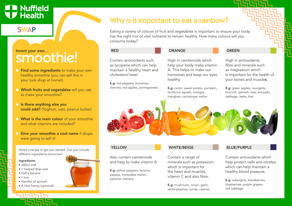### **SWAP**

# Invent your own...

- **Find some ingredients** to make your own healthy smoothie (you can sell this in your tuck shop at home!)
- Which fruits and vegetables will you use to make your smoothie?
- $\blacklozenge$  Is there anything else you could add? (Yoghurt, oats, peanut butter)
- What is the main colour of your smoothie and what vitamins are included?
- Give your smoothie a cool name if shops were going to sell it!

Here's a recipe to get you started. Can you include different ingredients tomorrow?

#### Ingredients

- 200ml milk
- 1 heaped tbsp oats
- Half a banana
- 1 kiwi
- Handful of spinach
- A little honey (optional)

## Why is it important to eat a rainbow?

Eating a variety of colours of fruit and vegetables is important to ensure your body has the right mix of vital nutrients to remain healthy. How many colours will you consume today?

#### RED

Contain antioxidants such as lycopene which can help maintain a healthy heart and

cholesterol level.

E.g: red peppers, tomatoes, cherries, red apples, pomegranate. ORANGE

#### GREEN

High in carotenoids which help your body make vitamin A. This helps to make our hormones and keep our eyes healthy.

E.g: carrot, sweet potato, pumpkin, butternut squash, oranges, mangoes, cantaloupe melon.

High in antioxidants, fibre and minerals such as magnesium which is important for the health of your bones and muscles.

E.g: green apples, courgette, broccoli, spinach, kale, avocado, cabbage, leeks, kiwi.



#### **YELLOW**

Also contain carotenoids and help to make vitamin A.

E.g: yellow peppers, lemons, papaya, honeydew melon, peaches, banana.

#### WHITE/BEIGE

Contain a range of minerals such as potassium which is important for the heart and muscles, vitamin C and also fibre.

E.g: mushroom, onion, garlic, white peaches, turnip, celeriac.

#### BLUE/PURPLE

Contain antioxidants which help protect cells and nitrates which can help maintain a healthy blood pressure.

E.g: aubergine, blackberries, blueberries, purple grapes, red cabbage.

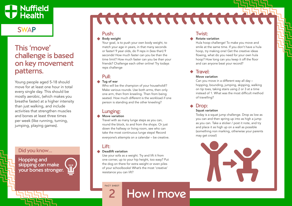## SWAP

## This 'move' challenge is based on key movement patterns.

Young people aged 5-18 should move for at least one hour in total every single day. This should be mostly aerobic, (which makes you breathe faster) at a higher intensity than just walking, and include activities that strengthen muscles and bones at least three times per week (like running, turning, jumping, playing games).

### Did you know…

Hopping and skipping can make your bones stronger.

## 

### Push:

Body weight

**Push:**<br>Body we<br>Your goal match yo<br>or faster!<br>seconds!<br>time limit<br>friends? (reps chall<br>Pull:<br>Tug of w<br>Who will Make var one arm,<br>seated. F person is<br>Lungin<br>Move va<br>Travel wit<br>Travel with computed with computed with the eve Your goal, is to push your own body weight, to match your age in years, in that many seconds or faster! 9 year olds, do 9 reps in (less than) 9 seconds! How much faster can you be than the time limit? How much faster can you be than your friends? Challenge each other online! Try todays reps challenge

### Pull:

#### **▲** Tug of war

Who will be the champion of your household!? Make various rounds. Use both arms, then only one arm, then from kneeling. Then from being seated. How much different is the workload if one person is standing and the other kneeling?

### Lunging:

#### Move variation

Travel with as many lunge steps as you can, round the block, to and from the shops. Or just down the hallway or living room, see who can take the most continuous lunge steps! Record everyone's attempts on a calendar – be creative.

### Lift:

#### Deadlift variation

Use your sofa as a weight. Try and lift it from one corner, up to your hip height, too easy? Put the dog on there for extra weight or even piles of your schoolbooks! What's the most 'creative' resistance you can lift?

**2** How I move

### Twist:

#### Rotate variation

Hula hoop challenge! To make you move and smile at the same time. If you don't have a hula hoop, try making one! Get the creative ideas flowing, what do you need for your own hula hoop? How long can you keep it off the floor and can anyone beat your record?

### Travel:

#### Move variation

Can you move in a different way all day – hopping, bounding, jumping, skipping, walking on tip toes, taking stairs using 2 or 3 at a time instead of 1. What was the most difficult method of travelling?

### Drop:

#### Squat variation

Today is a squat jump challenge. Drop as low as you can and then spring up into as high a jump as you can. Take a sticker / post it note, and try and place it as high up on a wall as possible (something non marking, otherwise your parents may get cross!)

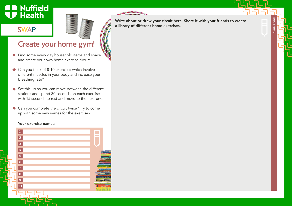### SWAP



Write about or draw your circuit here. Share it with your friends to create a library of different home exercises.

HOW I MOVE

## Create your home gym!

- ◆ Find some every day household items and space and create your own home exercise circuit.
- ◆ Can you think of 8-10 exercises which involve different muscles in your body and increase your breathing rate?
- $\blacklozenge$  Set this up so you can move between the different stations and spend 30 seconds on each exercise with 15 seconds to rest and move to the next one.
- ◆ Can you complete the circuit twice? Try to come up with some new names for the exercises.

#### Your exercise names:

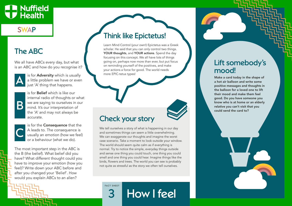## SWAP

## The ABC

We all have ABCs every day, but what is an ABC and how do you recognise it?



is for **Adversity** which is usually a little problem we have or even just 'A' thing that happens.



is for Belief which is like our internal radio of thoughts or what we are saying to ourselves in our mind. It's our interpretation of the 'A' and may not always be accurate.



is for the Consequence that the A leads to. The consequence is usually an emotion (how we feel) or a behaviour (what we do).

The most important step in the ABC is the B (the belief). What belief did you have? What different thought could you have to improve your emotion (how you feel)? Write down your ABC before and after you changed your 'Belief'. How would you explain ABCs to an alien?

## Think like Epictetus!

Learn Mind Control (your own!) Epictetus was a Greek scholar. He said that you can only control two things. YOUR thoughts, and YOUR actions. Spend the day focusing on this concept. We all have lots of things going on, perhaps now more than ever, but put focus on reminding yourself of the positives, and make your actions a force for good. The world needs more EPIC-tetus types!



## Check your story

We tell ourselves a story of what is happening in our day and sometimes things can seem a little overwhelming. We can exaggerate our thoughts and imagine the worst case scenario. Take a moment to look outside your window. The world should seem quite calm as if everything is normal. Try to notice the simple, everyday things outside and sense one thing you could touch, one thing you could smell and one thing you could hear. Imagine things like the birds, flowers and trees. The world you can see is probably not quite as stressful as the story we often tell ourselves.

 $3$  How I feel

## Lift somebody's mood!

Make a card today in the shape of a hot air balloon and write some positive messages and thoughts in the balloon for a loved one to lift their mood and make them feel good. Do you have someone you know who is at home or an elderly relative you can't visit that you could send the card to?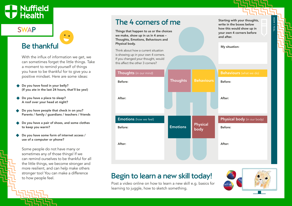### SWAP

## Be thankful

With the influx of information we get, we can sometimes forget the little things. Take a moment to remind yourself of things you have to be thankful for to give you a positive mindset. Here are some ideas:

- Do you have food in your belly? (If you ate in the last 24 hours, that'll be yes!)
- Do you have a place to sleep? A roof over your head at night?
- Do you have people that check in on you? Parents / family / guardians / teachers / friends
- Do you have a pair of shoes, and some clothes to keep you warm?
- Do you have some form of internet access / use of a computer or phone?

Some people do not have many or sometimes any of those things! If we can remind ourselves to be thankful for all the little things, we become stronger and more resilient, and can help make others stronger too! You can make a difference to how people feel.

## The 4 corners of me

Things that happen to us or the choices we make, show up in us in 4 areas – Thoughts, Emotions, Behaviours and Physical body.

Think about how a current situation is showing up in your own 4 corners. If you changed your thought, would this affect the other 3 corners?



## Begin to learn a new skill today!

Post a video online on how to learn a new skill e.g. basics for learning to juggle, how to sketch something.



My situation:

and after.

Starting with your thoughts, write in the boxes below how this would show up in your own 4 corners before

HOW I FEEL

HOW I FEEL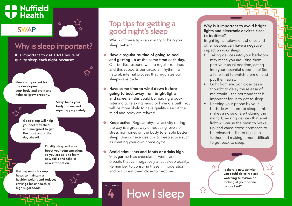## SWAP



## Why is sleep important?

It is important to get 10-11 hours of quality sleep each night because:

Sleep is important for the development of your body and brain and helps us grow properly.



Good sleep will help you feel refreshed

and energised to get the most out of the day ahead!

> Quality sleep will also boost your concentration, so you are able to learn new skills and take in new information.

Sleep helps your body to heal and repair appropriately.

Getting enough sleep helps to maintain a healthy weight and reduces cravings for unhealthier high sugar foods.



Which of these tips can you try to help you sleep better?

- Have a regular routine of going to bed and getting up at the same time each day. Our bodies respond well to regular routines and this supports our circadian rhythm - a natural, internal process that regulates our sleep-wake cycle.
- Have some time to wind down before going to bed, away from bright lights and screens - this could be reading a book, listening to relaxing music or having a bath. You will be more likely to have quality sleep if the mind and body are relaxed.
- Keep active! Regular physical activity during the day is a great way of reducing levels of stress hormones on the body to enable better sleep. Use our exercise tips to keep active such as creating your own home gym!

Avoid stimulants and foods or drinks high in sugar such as chocolate, sweets and biscuits that can negatively affect sleep quality. Remember to consume these in moderation and not to eat them close to bedtime.

FACT SHEET HOW I Sleep

#### Why is it important to avoid bright lights and electronic devices close to bedtime?

Bright lights, television, phones and other devices can have a negative impact on your sleep.

- Taking devices into your bedroom may mean you are using them past your usual bedtime, eating into your essential sleep time! Set a time limit to switch them off and put them away.
- Light from electronic devices is thought to delay the release of melatonin – the hormone that is important for us to get to sleep.
- Keeping your phone by your bedside will interrupt sleep if this makes a noise or alert during the night. Checking devices that emit light will cause the brain to 'wake up' and cause stress hormones to be released - disrupting sleep further and making it more difficult to get back to sleep.

Is there a new activity you could do to replace watching television or looking at your phone before bed?

☆

 $\sum_{i=1}^{n}$